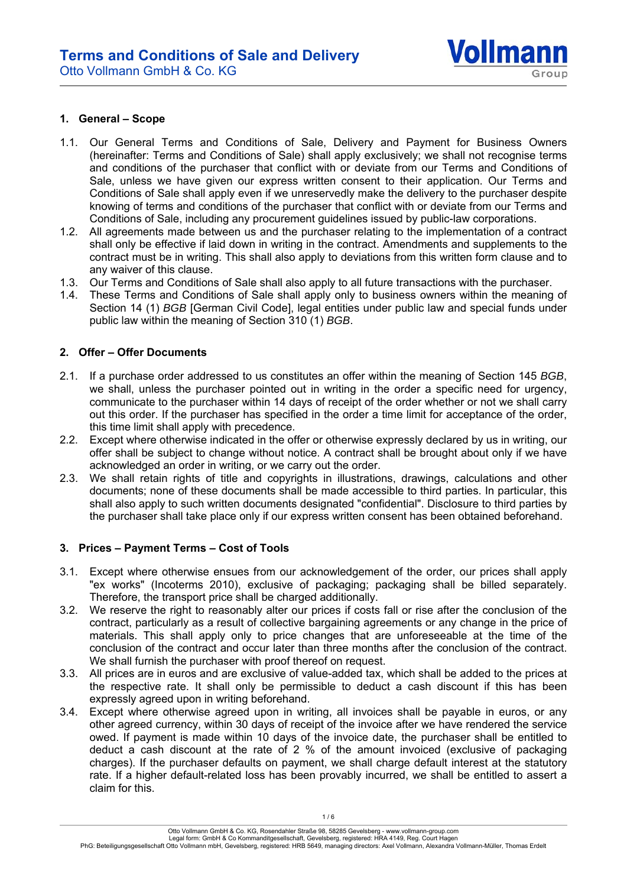

#### **1. General – Scope**

- 1.1. Our General Terms and Conditions of Sale, Delivery and Payment for Business Owners (hereinafter: Terms and Conditions of Sale) shall apply exclusively; we shall not recognise terms and conditions of the purchaser that conflict with or deviate from our Terms and Conditions of Sale, unless we have given our express written consent to their application. Our Terms and Conditions of Sale shall apply even if we unreservedly make the delivery to the purchaser despite knowing of terms and conditions of the purchaser that conflict with or deviate from our Terms and Conditions of Sale, including any procurement guidelines issued by public-law corporations.
- 1.2. All agreements made between us and the purchaser relating to the implementation of a contract shall only be effective if laid down in writing in the contract. Amendments and supplements to the contract must be in writing. This shall also apply to deviations from this written form clause and to any waiver of this clause.
- 1.3. Our Terms and Conditions of Sale shall also apply to all future transactions with the purchaser.
- 1.4. These Terms and Conditions of Sale shall apply only to business owners within the meaning of Section 14 (1) *BGB* [German Civil Code], legal entities under public law and special funds under public law within the meaning of Section 310 (1) *BGB*.

### **2. Offer – Offer Documents**

- 2.1. If a purchase order addressed to us constitutes an offer within the meaning of Section 145 *BGB*, we shall, unless the purchaser pointed out in writing in the order a specific need for urgency, communicate to the purchaser within 14 days of receipt of the order whether or not we shall carry out this order. If the purchaser has specified in the order a time limit for acceptance of the order, this time limit shall apply with precedence.
- 2.2. Except where otherwise indicated in the offer or otherwise expressly declared by us in writing, our offer shall be subject to change without notice. A contract shall be brought about only if we have acknowledged an order in writing, or we carry out the order.
- 2.3. We shall retain rights of title and copyrights in illustrations, drawings, calculations and other documents; none of these documents shall be made accessible to third parties. In particular, this shall also apply to such written documents designated "confidential". Disclosure to third parties by the purchaser shall take place only if our express written consent has been obtained beforehand.

## **3. Prices – Payment Terms – Cost of Tools**

- 3.1. Except where otherwise ensues from our acknowledgement of the order, our prices shall apply "ex works" (Incoterms 2010), exclusive of packaging; packaging shall be billed separately. Therefore, the transport price shall be charged additionally.
- 3.2. We reserve the right to reasonably alter our prices if costs fall or rise after the conclusion of the contract, particularly as a result of collective bargaining agreements or any change in the price of materials. This shall apply only to price changes that are unforeseeable at the time of the conclusion of the contract and occur later than three months after the conclusion of the contract. We shall furnish the purchaser with proof thereof on request.
- 3.3. All prices are in euros and are exclusive of value-added tax, which shall be added to the prices at the respective rate. It shall only be permissible to deduct a cash discount if this has been expressly agreed upon in writing beforehand.
- 3.4. Except where otherwise agreed upon in writing, all invoices shall be payable in euros, or any other agreed currency, within 30 days of receipt of the invoice after we have rendered the service owed. If payment is made within 10 days of the invoice date, the purchaser shall be entitled to deduct a cash discount at the rate of 2 % of the amount invoiced (exclusive of packaging charges). If the purchaser defaults on payment, we shall charge default interest at the statutory rate. If a higher default-related loss has been provably incurred, we shall be entitled to assert a claim for this.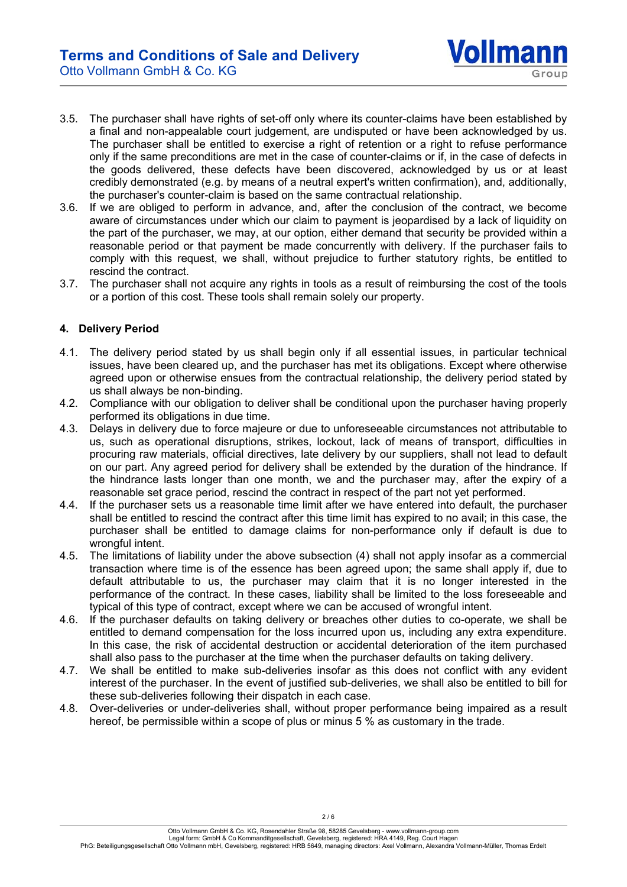

- 3.5. The purchaser shall have rights of set-off only where its counter-claims have been established by a final and non-appealable court judgement, are undisputed or have been acknowledged by us. The purchaser shall be entitled to exercise a right of retention or a right to refuse performance only if the same preconditions are met in the case of counter-claims or if, in the case of defects in the goods delivered, these defects have been discovered, acknowledged by us or at least credibly demonstrated (e.g. by means of a neutral expert's written confirmation), and, additionally, the purchaser's counter-claim is based on the same contractual relationship.
- 3.6. If we are obliged to perform in advance, and, after the conclusion of the contract, we become aware of circumstances under which our claim to payment is jeopardised by a lack of liquidity on the part of the purchaser, we may, at our option, either demand that security be provided within a reasonable period or that payment be made concurrently with delivery. If the purchaser fails to comply with this request, we shall, without prejudice to further statutory rights, be entitled to rescind the contract.
- 3.7. The purchaser shall not acquire any rights in tools as a result of reimbursing the cost of the tools or a portion of this cost. These tools shall remain solely our property.

## **4. Delivery Period**

- 4.1. The delivery period stated by us shall begin only if all essential issues, in particular technical issues, have been cleared up, and the purchaser has met its obligations. Except where otherwise agreed upon or otherwise ensues from the contractual relationship, the delivery period stated by us shall always be non-binding.
- 4.2. Compliance with our obligation to deliver shall be conditional upon the purchaser having properly performed its obligations in due time.
- 4.3. Delays in delivery due to force majeure or due to unforeseeable circumstances not attributable to us, such as operational disruptions, strikes, lockout, lack of means of transport, difficulties in procuring raw materials, official directives, late delivery by our suppliers, shall not lead to default on our part. Any agreed period for delivery shall be extended by the duration of the hindrance. If the hindrance lasts longer than one month, we and the purchaser may, after the expiry of a reasonable set grace period, rescind the contract in respect of the part not yet performed.
- 4.4. If the purchaser sets us a reasonable time limit after we have entered into default, the purchaser shall be entitled to rescind the contract after this time limit has expired to no avail; in this case, the purchaser shall be entitled to damage claims for non-performance only if default is due to wrongful intent.
- 4.5. The limitations of liability under the above subsection (4) shall not apply insofar as a commercial transaction where time is of the essence has been agreed upon; the same shall apply if, due to default attributable to us, the purchaser may claim that it is no longer interested in the performance of the contract. In these cases, liability shall be limited to the loss foreseeable and typical of this type of contract, except where we can be accused of wrongful intent.
- 4.6. If the purchaser defaults on taking delivery or breaches other duties to co-operate, we shall be entitled to demand compensation for the loss incurred upon us, including any extra expenditure. In this case, the risk of accidental destruction or accidental deterioration of the item purchased shall also pass to the purchaser at the time when the purchaser defaults on taking delivery.
- 4.7. We shall be entitled to make sub-deliveries insofar as this does not conflict with any evident interest of the purchaser. In the event of justified sub-deliveries, we shall also be entitled to bill for these sub-deliveries following their dispatch in each case.
- 4.8. Over-deliveries or under-deliveries shall, without proper performance being impaired as a result hereof, be permissible within a scope of plus or minus 5 % as customary in the trade.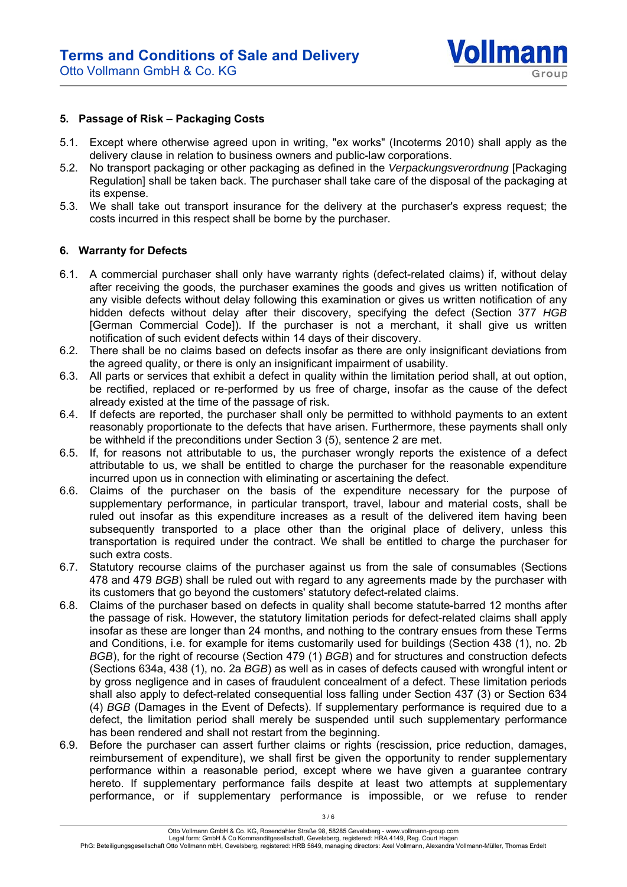

#### **5. Passage of Risk – Packaging Costs**

- 5.1. Except where otherwise agreed upon in writing, "ex works" (Incoterms 2010) shall apply as the delivery clause in relation to business owners and public-law corporations.
- 5.2. No transport packaging or other packaging as defined in the *Verpackungsverordnung* [Packaging Regulation] shall be taken back. The purchaser shall take care of the disposal of the packaging at its expense.
- 5.3. We shall take out transport insurance for the delivery at the purchaser's express request; the costs incurred in this respect shall be borne by the purchaser.

#### **6. Warranty for Defects**

- 6.1. A commercial purchaser shall only have warranty rights (defect-related claims) if, without delay after receiving the goods, the purchaser examines the goods and gives us written notification of any visible defects without delay following this examination or gives us written notification of any hidden defects without delay after their discovery, specifying the defect (Section 377 *HGB* [German Commercial Code]). If the purchaser is not a merchant, it shall give us written notification of such evident defects within 14 days of their discovery.
- 6.2. There shall be no claims based on defects insofar as there are only insignificant deviations from the agreed quality, or there is only an insignificant impairment of usability.
- 6.3. All parts or services that exhibit a defect in quality within the limitation period shall, at out option, be rectified, replaced or re-performed by us free of charge, insofar as the cause of the defect already existed at the time of the passage of risk.
- 6.4. If defects are reported, the purchaser shall only be permitted to withhold payments to an extent reasonably proportionate to the defects that have arisen. Furthermore, these payments shall only be withheld if the preconditions under Section 3 (5), sentence 2 are met.
- 6.5. If, for reasons not attributable to us, the purchaser wrongly reports the existence of a defect attributable to us, we shall be entitled to charge the purchaser for the reasonable expenditure incurred upon us in connection with eliminating or ascertaining the defect.
- 6.6. Claims of the purchaser on the basis of the expenditure necessary for the purpose of supplementary performance, in particular transport, travel, labour and material costs, shall be ruled out insofar as this expenditure increases as a result of the delivered item having been subsequently transported to a place other than the original place of delivery, unless this transportation is required under the contract. We shall be entitled to charge the purchaser for such extra costs.
- 6.7. Statutory recourse claims of the purchaser against us from the sale of consumables (Sections 478 and 479 *BGB*) shall be ruled out with regard to any agreements made by the purchaser with its customers that go beyond the customers' statutory defect-related claims.
- 6.8. Claims of the purchaser based on defects in quality shall become statute-barred 12 months after the passage of risk. However, the statutory limitation periods for defect-related claims shall apply insofar as these are longer than 24 months, and nothing to the contrary ensues from these Terms and Conditions, i.e. for example for items customarily used for buildings (Section 438 (1), no. 2b *BGB*), for the right of recourse (Section 479 (1) *BGB*) and for structures and construction defects (Sections 634a, 438 (1), no. 2a *BGB*) as well as in cases of defects caused with wrongful intent or by gross negligence and in cases of fraudulent concealment of a defect. These limitation periods shall also apply to defect-related consequential loss falling under Section 437 (3) or Section 634 (4) *BGB* (Damages in the Event of Defects). If supplementary performance is required due to a defect, the limitation period shall merely be suspended until such supplementary performance has been rendered and shall not restart from the beginning.
- 6.9. Before the purchaser can assert further claims or rights (rescission, price reduction, damages, reimbursement of expenditure), we shall first be given the opportunity to render supplementary performance within a reasonable period, except where we have given a guarantee contrary hereto. If supplementary performance fails despite at least two attempts at supplementary performance, or if supplementary performance is impossible, or we refuse to render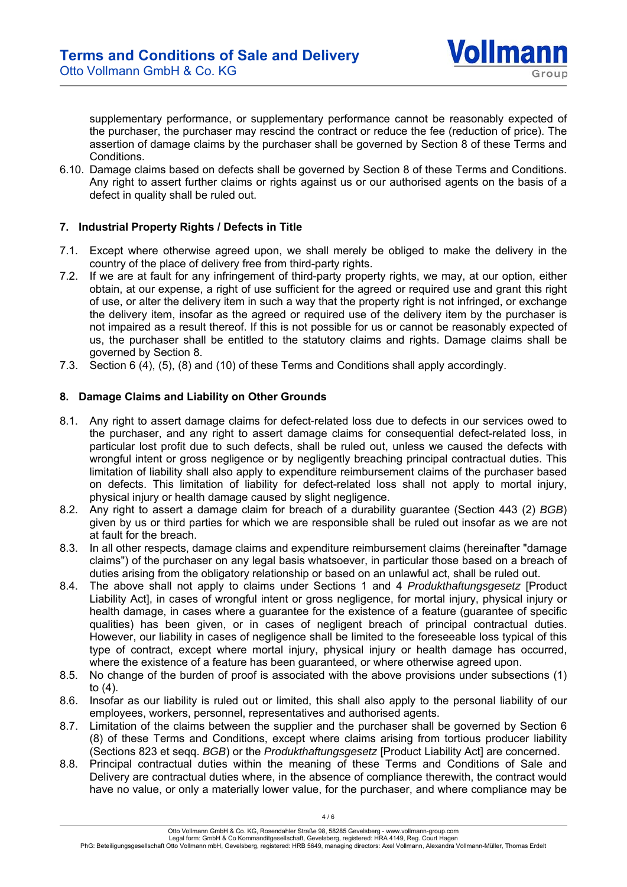

supplementary performance, or supplementary performance cannot be reasonably expected of the purchaser, the purchaser may rescind the contract or reduce the fee (reduction of price). The assertion of damage claims by the purchaser shall be governed by Section 8 of these Terms and Conditions.

6.10. Damage claims based on defects shall be governed by Section 8 of these Terms and Conditions. Any right to assert further claims or rights against us or our authorised agents on the basis of a defect in quality shall be ruled out.

## **7. Industrial Property Rights / Defects in Title**

- 7.1. Except where otherwise agreed upon, we shall merely be obliged to make the delivery in the country of the place of delivery free from third-party rights.
- 7.2. If we are at fault for any infringement of third-party property rights, we may, at our option, either obtain, at our expense, a right of use sufficient for the agreed or required use and grant this right of use, or alter the delivery item in such a way that the property right is not infringed, or exchange the delivery item, insofar as the agreed or required use of the delivery item by the purchaser is not impaired as a result thereof. If this is not possible for us or cannot be reasonably expected of us, the purchaser shall be entitled to the statutory claims and rights. Damage claims shall be governed by Section 8.
- 7.3. Section 6 (4), (5), (8) and (10) of these Terms and Conditions shall apply accordingly.

### **8. Damage Claims and Liability on Other Grounds**

- 8.1. Any right to assert damage claims for defect-related loss due to defects in our services owed to the purchaser, and any right to assert damage claims for consequential defect-related loss, in particular lost profit due to such defects, shall be ruled out, unless we caused the defects with wrongful intent or gross negligence or by negligently breaching principal contractual duties. This limitation of liability shall also apply to expenditure reimbursement claims of the purchaser based on defects. This limitation of liability for defect-related loss shall not apply to mortal injury, physical injury or health damage caused by slight negligence.
- 8.2. Any right to assert a damage claim for breach of a durability guarantee (Section 443 (2) *BGB*) given by us or third parties for which we are responsible shall be ruled out insofar as we are not at fault for the breach.
- 8.3. In all other respects, damage claims and expenditure reimbursement claims (hereinafter "damage claims") of the purchaser on any legal basis whatsoever, in particular those based on a breach of duties arising from the obligatory relationship or based on an unlawful act, shall be ruled out.
- 8.4. The above shall not apply to claims under Sections 1 and 4 *Produkthaftungsgesetz* [Product Liability Act], in cases of wrongful intent or gross negligence, for mortal injury, physical injury or health damage, in cases where a guarantee for the existence of a feature (guarantee of specific qualities) has been given, or in cases of negligent breach of principal contractual duties. However, our liability in cases of negligence shall be limited to the foreseeable loss typical of this type of contract, except where mortal injury, physical injury or health damage has occurred, where the existence of a feature has been guaranteed, or where otherwise agreed upon.
- 8.5. No change of the burden of proof is associated with the above provisions under subsections (1) to (4).
- 8.6. Insofar as our liability is ruled out or limited, this shall also apply to the personal liability of our employees, workers, personnel, representatives and authorised agents.
- 8.7. Limitation of the claims between the supplier and the purchaser shall be governed by Section 6 (8) of these Terms and Conditions, except where claims arising from tortious producer liability (Sections 823 et seqq. *BGB*) or the *Produkthaftungsgesetz* [Product Liability Act] are concerned.
- 8.8. Principal contractual duties within the meaning of these Terms and Conditions of Sale and Delivery are contractual duties where, in the absence of compliance therewith, the contract would have no value, or only a materially lower value, for the purchaser, and where compliance may be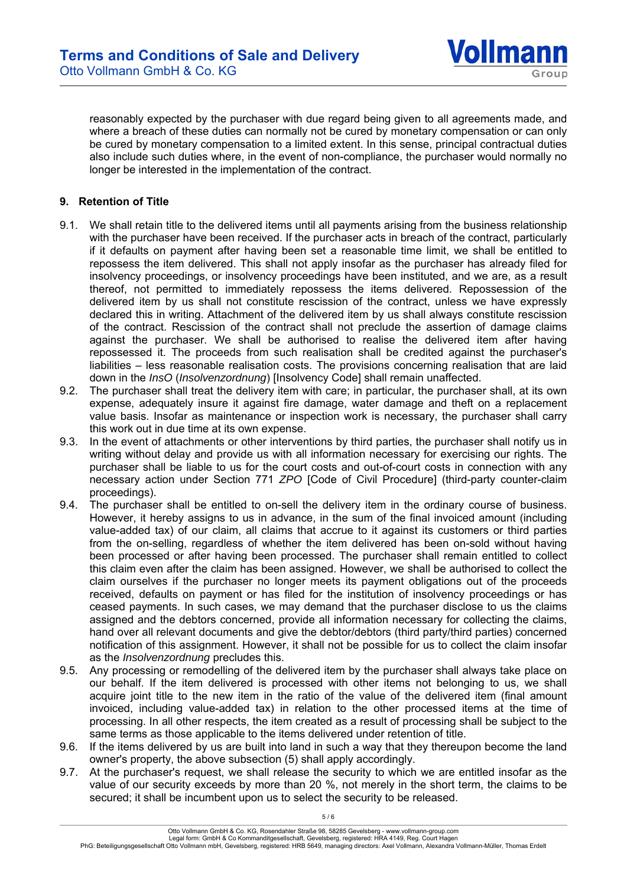

reasonably expected by the purchaser with due regard being given to all agreements made, and where a breach of these duties can normally not be cured by monetary compensation or can only be cured by monetary compensation to a limited extent. In this sense, principal contractual duties also include such duties where, in the event of non-compliance, the purchaser would normally no longer be interested in the implementation of the contract.

## **9. Retention of Title**

- 9.1. We shall retain title to the delivered items until all payments arising from the business relationship with the purchaser have been received. If the purchaser acts in breach of the contract, particularly if it defaults on payment after having been set a reasonable time limit, we shall be entitled to repossess the item delivered. This shall not apply insofar as the purchaser has already filed for insolvency proceedings, or insolvency proceedings have been instituted, and we are, as a result thereof, not permitted to immediately repossess the items delivered. Repossession of the delivered item by us shall not constitute rescission of the contract, unless we have expressly declared this in writing. Attachment of the delivered item by us shall always constitute rescission of the contract. Rescission of the contract shall not preclude the assertion of damage claims against the purchaser. We shall be authorised to realise the delivered item after having repossessed it. The proceeds from such realisation shall be credited against the purchaser's liabilities – less reasonable realisation costs. The provisions concerning realisation that are laid down in the *InsO* (*Insolvenzordnung*) [Insolvency Code] shall remain unaffected.
- 9.2. The purchaser shall treat the delivery item with care; in particular, the purchaser shall, at its own expense, adequately insure it against fire damage, water damage and theft on a replacement value basis. Insofar as maintenance or inspection work is necessary, the purchaser shall carry this work out in due time at its own expense.
- 9.3. In the event of attachments or other interventions by third parties, the purchaser shall notify us in writing without delay and provide us with all information necessary for exercising our rights. The purchaser shall be liable to us for the court costs and out-of-court costs in connection with any necessary action under Section 771 *ZPO* [Code of Civil Procedure] (third-party counter-claim proceedings).
- 9.4. The purchaser shall be entitled to on-sell the delivery item in the ordinary course of business. However, it hereby assigns to us in advance, in the sum of the final invoiced amount (including value-added tax) of our claim, all claims that accrue to it against its customers or third parties from the on-selling, regardless of whether the item delivered has been on-sold without having been processed or after having been processed. The purchaser shall remain entitled to collect this claim even after the claim has been assigned. However, we shall be authorised to collect the claim ourselves if the purchaser no longer meets its payment obligations out of the proceeds received, defaults on payment or has filed for the institution of insolvency proceedings or has ceased payments. In such cases, we may demand that the purchaser disclose to us the claims assigned and the debtors concerned, provide all information necessary for collecting the claims, hand over all relevant documents and give the debtor/debtors (third party/third parties) concerned notification of this assignment. However, it shall not be possible for us to collect the claim insofar as the *Insolvenzordnung* precludes this.
- 9.5. Any processing or remodelling of the delivered item by the purchaser shall always take place on our behalf. If the item delivered is processed with other items not belonging to us, we shall acquire joint title to the new item in the ratio of the value of the delivered item (final amount invoiced, including value-added tax) in relation to the other processed items at the time of processing. In all other respects, the item created as a result of processing shall be subject to the same terms as those applicable to the items delivered under retention of title.
- 9.6. If the items delivered by us are built into land in such a way that they thereupon become the land owner's property, the above subsection (5) shall apply accordingly.
- 9.7. At the purchaser's request, we shall release the security to which we are entitled insofar as the value of our security exceeds by more than 20 %, not merely in the short term, the claims to be secured; it shall be incumbent upon us to select the security to be released.